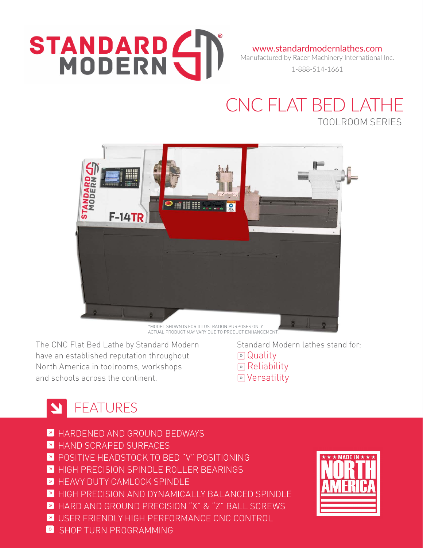# STANDARD (

www.standardmodernlathes.com Manufactured by Racer Machinery International Inc.

1-888-514-1661

#### CNC FLAT BED LATHE TOOLROOM SERIES



\*MODEL SHOWN IS FOR ILLUSTRATION PURPOSES ONLY. ACTUAL PRODUCT MAY VARY DUE TO PRODUCT ENHANCEMENT

The CNC Flat Bed Lathe by Standard Modern have an established reputation throughout North America in toolrooms, workshops and schools across the continent.

 Standard Modern lathes stand for: **»** Quality **»** Reliability **»** Versatility

### STREATURES

- » HARDENED AND GROUND BEDWAYS
- » HAND SCRAPED SURFACES
- » POSITIVE HEADSTOCK TO BED "V" POSITIONING
- **»** HIGH PRECISION SPINDLE ROLLER BEARINGS
- **EXTREMINIST CAMLOCK SPINDLE**
- » HIGH PRECISION AND DYNAMICALLY BALANCED SPINDLE
- » HARD AND GROUND PRECISION "X" & "Z" BALL SCREWS
- » USER FRIENDLY HIGH PERFORMANCE CNC CONTROL
- SHOP TURN PROGRAMMING  $\mathbb{R}$